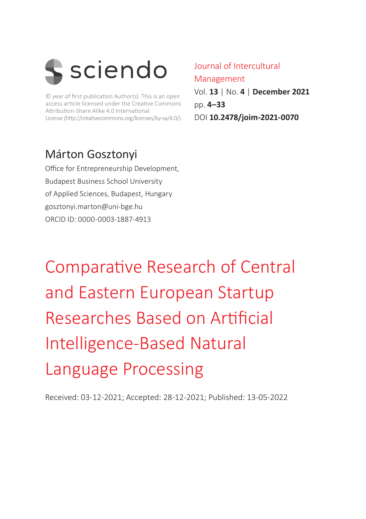

© year of first publication Author(s). This is an open access article licensed under the Creative Commons Attribution-Share Alike 4.0 International License (http://creativecommons.org/licenses/by-sa/4.0/).

### Márton Gosztonyi

Office for Entrepreneurship Development, Budapest Business School University of Applied Sciences, Budapest, Hungary gosztonyi.marton@uni-bge.hu ORCID ID: 0000-0003-1887-4913

Journal of Intercultural Management Vol. **13** | No. **4** | **December 2021** pp. **4–33** DOI **10.2478/joim-2021-0070**

Comparative Research of Central and Eastern European Startup Researches Based on Artificial Intelligence-Based Natural Language Processing

Received: 03-12-2021; Accepted: 28-12-2021; Published: 13-05-2022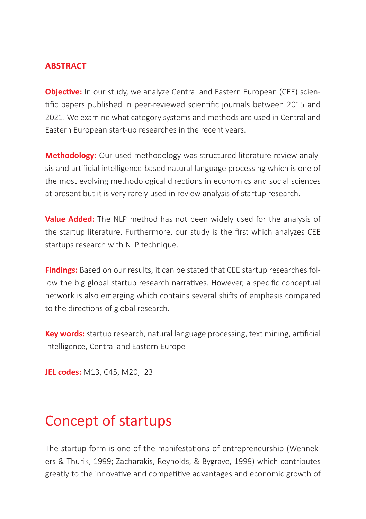#### **ABSTRACT**

**Objective:** In our study, we analyze Central and Eastern European (CEE) scientific papers published in peer-reviewed scientific journals between 2015 and 2021. We examine what category systems and methods are used in Central and Eastern European start-up researches in the recent years.

**Methodology:** Our used methodology was structured literature review analysis and artificial intelligence-based natural language processing which is one of the most evolving methodological directions in economics and social sciences at present but it is very rarely used in review analysis of startup research.

**Value Added:** The NLP method has not been widely used for the analysis of the startup literature. Furthermore, our study is the first which analyzes CEE startups research with NLP technique.

**Findings:** Based on our results, it can be stated that CEE startup researches follow the big global startup research narratives. However, a specific conceptual network is also emerging which contains several shifts of emphasis compared to the directions of global research.

**Key words:** startup research, natural language processing, text mining, artificial intelligence, Central and Eastern Europe

**JEL codes:** M13, C45, M20, I23

## Concept of startups

The startup form is one of the manifestations of entrepreneurship (Wennekers & Thurik, 1999; Zacharakis, Reynolds, & Bygrave, 1999) which contributes greatly to the innovative and competitive advantages and economic growth of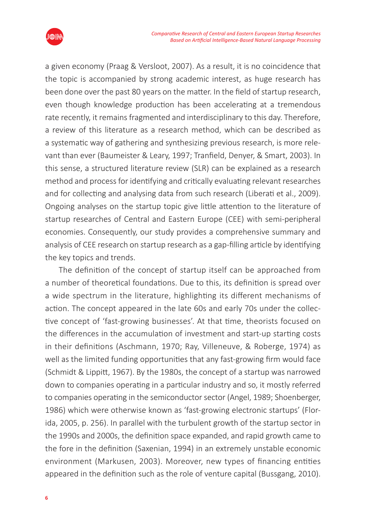

a given economy (Praag & Versloot, 2007). As a result, it is no coincidence that the topic is accompanied by strong academic interest, as huge research has been done over the past 80 years on the matter. In the field of startup research, even though knowledge production has been accelerating at a tremendous rate recently, it remains fragmented and interdisciplinary to this day. Therefore, a review of this literature as a research method, which can be described as a systematic way of gathering and synthesizing previous research, is more relevant than ever (Baumeister & Leary, 1997; Tranfield, Denyer, & Smart, 2003). In this sense, a structured literature review (SLR) can be explained as a research method and process for identifying and critically evaluating relevant researches and for collecting and analysing data from such research (Liberati et al., 2009). Ongoing analyses on the startup topic give little attention to the literature of startup researches of Central and Eastern Europe (CEE) with semi-peripheral economies. Consequently, our study provides a comprehensive summary and analysis of CEE research on startup research as a gap-filling article by identifying the key topics and trends.

The definition of the concept of startup itself can be approached from a number of theoretical foundations. Due to this, its definition is spread over a wide spectrum in the literature, highlighting its different mechanisms of action. The concept appeared in the late 60s and early 70s under the collective concept of 'fast-growing businesses'. At that time, theorists focused on the differences in the accumulation of investment and start-up starting costs in their definitions (Aschmann, 1970; Ray, Villeneuve, & Roberge, 1974) as well as the limited funding opportunities that any fast-growing firm would face (Schmidt & Lippitt, 1967). By the 1980s, the concept of a startup was narrowed down to companies operating in a particular industry and so, it mostly referred to companies operating in the semiconductor sector (Angel, 1989; Shoenberger, 1986) which were otherwise known as 'fast-growing electronic startups' (Florida, 2005, p. 256). In parallel with the turbulent growth of the startup sector in the 1990s and 2000s, the definition space expanded, and rapid growth came to the fore in the definition (Saxenian, 1994) in an extremely unstable economic environment (Markusen, 2003). Moreover, new types of financing entities appeared in the definition such as the role of venture capital (Bussgang, 2010).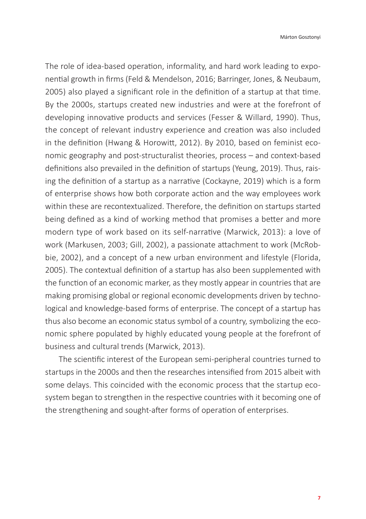The role of idea-based operation, informality, and hard work leading to exponential growth in firms (Feld & Mendelson, 2016; Barringer, Jones, & Neubaum, 2005) also played a significant role in the definition of a startup at that time. By the 2000s, startups created new industries and were at the forefront of developing innovative products and services (Fesser & Willard, 1990). Thus, the concept of relevant industry experience and creation was also included in the definition (Hwang & Horowitt, 2012). By 2010, based on feminist economic geography and post-structuralist theories, process – and context-based definitions also prevailed in the definition of startups (Yeung, 2019). Thus, raising the definition of a startup as a narrative (Cockayne, 2019) which is a form of enterprise shows how both corporate action and the way employees work within these are recontextualized. Therefore, the definition on startups started being defined as a kind of working method that promises a better and more modern type of work based on its self-narrative (Marwick, 2013): a love of work (Markusen, 2003; Gill, 2002), a passionate attachment to work (McRobbie, 2002), and a concept of a new urban environment and lifestyle (Florida, 2005). The contextual definition of a startup has also been supplemented with the function of an economic marker, as they mostly appear in countries that are making promising global or regional economic developments driven by technological and knowledge-based forms of enterprise. The concept of a startup has thus also become an economic status symbol of a country, symbolizing the economic sphere populated by highly educated young people at the forefront of business and cultural trends (Marwick, 2013).

The scientific interest of the European semi-peripheral countries turned to startups in the 2000s and then the researches intensified from 2015 albeit with some delays. This coincided with the economic process that the startup ecosystem began to strengthen in the respective countries with it becoming one of the strengthening and sought-after forms of operation of enterprises.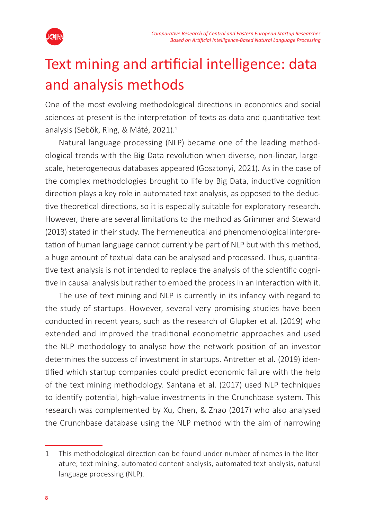

# Text mining and artificial intelligence: data and analysis methods

One of the most evolving methodological directions in economics and social sciences at present is the interpretation of texts as data and quantitative text analysis (Sebők, Ring, & Máté, 2021).<sup>1</sup>

Natural language processing (NLP) became one of the leading methodological trends with the Big Data revolution when diverse, non-linear, largescale, heterogeneous databases appeared (Gosztonyi, 2021). As in the case of the complex methodologies brought to life by Big Data, inductive cognition direction plays a key role in automated text analysis, as opposed to the deductive theoretical directions, so it is especially suitable for exploratory research. However, there are several limitations to the method as Grimmer and Steward (2013) stated in their study. The hermeneutical and phenomenological interpretation of human language cannot currently be part of NLP but with this method, a huge amount of textual data can be analysed and processed. Thus, quantitative text analysis is not intended to replace the analysis of the scientific cognitive in causal analysis but rather to embed the process in an interaction with it.

The use of text mining and NLP is currently in its infancy with regard to the study of startups. However, several very promising studies have been conducted in recent years, such as the research of Glupker et al. (2019) who extended and improved the traditional econometric approaches and used the NLP methodology to analyse how the network position of an investor determines the success of investment in startups. Antretter et al. (2019) identified which startup companies could predict economic failure with the help of the text mining methodology. Santana et al. (2017) used NLP techniques to identify potential, high-value investments in the Crunchbase system. This research was complemented by Xu, Chen, & Zhao (2017) who also analysed the Crunchbase database using the NLP method with the aim of narrowing

<sup>1</sup> This methodological direction can be found under number of names in the literature; text mining, automated content analysis, automated text analysis, natural language processing (NLP).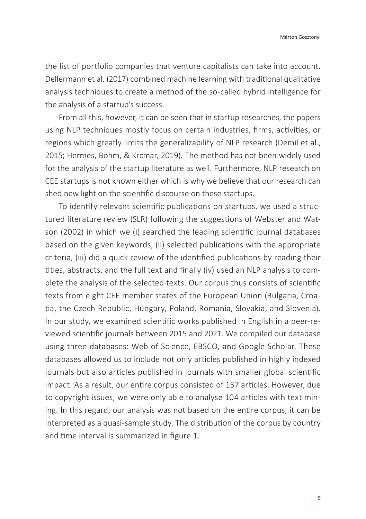the list of portfolio companies that venture capitalists can take into account. Dellermann et al. (2017) combined machine learning with traditional qualitative analysis techniques to create a method of the so-called hybrid intelligence for the analysis of a startup's success.

From all this, however, it can be seen that in startup researches, the papers using NLP techniques mostly focus on certain industries, firms, activities, or regions which greatly limits the generalizability of NLP research (Demil et al., 2015; Hermes, Böhm, & Krcmar, 2019). The method has not been widely used for the analysis of the startup literature as well. Furthermore, NLP research on CEE startups is not known either which is why we believe that our research can shed new light on the scientific discourse on these startups.

To identify relevant scientific publications on startups, we used a structured literature review (SLR) following the suggestions of Webster and Watson (2002) in which we (i) searched the leading scientific journal databases based on the given keywords, (ii) selected publications with the appropriate criteria, (iii) did a quick review of the identified publications by reading their titles, abstracts, and the full text and finally (iv) used an NLP analysis to complete the analysis of the selected texts. Our corpus thus consists of scientific texts from eight CEE member states of the European Union (Bulgaria, Croatia, the Czech Republic, Hungary, Poland, Romania, Slovakia, and Slovenia). In our study, we examined scientific works published in English in a peer-reviewed scientific journals between 2015 and 2021. We compiled our database using three databases: Web of Science, EBSCO, and Google Scholar. These databases allowed us to include not only articles published in highly indexed journals but also articles published in journals with smaller global scientific impact. As a result, our entire corpus consisted of 157 articles. However, due to copyright issues, we were only able to analyse 104 articles with text mining. In this regard, our analysis was not based on the entire corpus; it can be interpreted as a quasi-sample study. The distribution of the corpus by country and time interval is summarized in figure 1.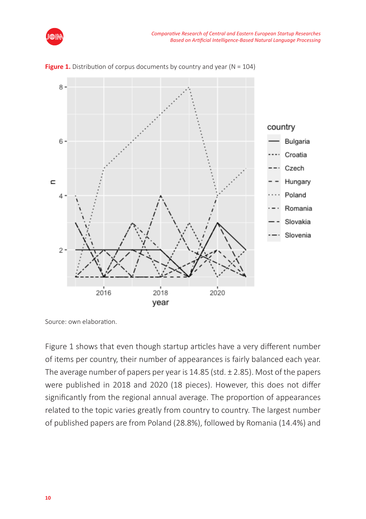



**Figure 1.** Distribution of corpus documents by country and year ( $N = 104$ )

Figure 1 shows that even though startup articles have a very different number of items per country, their number of appearances is fairly balanced each year. The average number of papers per year is  $14.85$  (std.  $\pm$  2.85). Most of the papers were published in 2018 and 2020 (18 pieces). However, this does not differ significantly from the regional annual average. The proportion of appearances related to the topic varies greatly from country to country. The largest number of published papers are from Poland (28.8%), followed by Romania (14.4%) and

Source: own elaboration.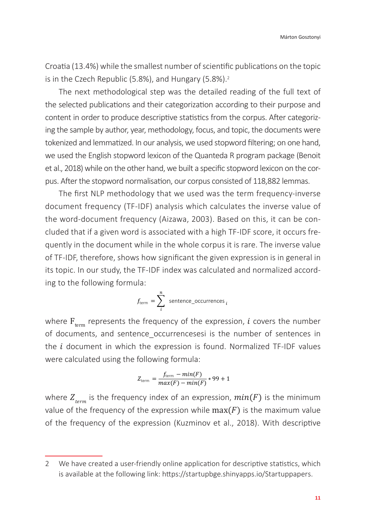Márton Gosztonyi

Croatia (13.4%) while the smallest number of scientific publications on the topic is in the Czech Republic (5.8%), and Hungary (5.8%).<sup>2</sup>

The next methodological step was the detailed reading of the full text of the selected publications and their categorization according to their purpose and content in order to produce descriptive statistics from the corpus. After categorizing the sample by author, year, methodology, focus, and topic, the documents were tokenized and lemmatized. In our analysis, we used stopword filtering; on one hand, we used the English stopword lexicon of the Quanteda R program package (Benoit et al., 2018) while on the other hand, we built a specific stopword lexicon on the corpus. After the stopword normalisation, our corpus consisted of 118,882 lemmas.

The first NLP methodology that we used was the term frequency-inverse document frequency (TF-IDF) analysis which calculates the inverse value of the word-document frequency (Aizawa, 2003). Based on this, it can be concluded that if a given word is associated with a high TF-IDF score, it occurs frequently in the document while in the whole corpus it is rare. The inverse value of TF-IDF, therefore, shows how significant the given expression is in general in its topic. In our study, the TF-IDF index was calculated and normalized according to the following formula:

$$
f_{\text{term}} = \sum_{i}^{n} \text{ sentence\_occurrences }_{i}
$$

where  $\mathrm{F_{term}}$  represents the frequency of the expression,  $i$  covers the number of documents, and sentence\_occurrencesesi is the number of sentences in the  $i$  document in which the expression is found. Normalized TF-IDF values were calculated using the following formula: 7

$$
Z_{\text{term}} = \frac{f_{\text{term}} - \min(F)}{\max(F) - \min(F)} * 99 + 1
$$

where  $Z_{term}$  is the frequency index of an expression,  $min(F)$  is the minimum value of the frequency of the expression while  $max(F)$  is the maximum value of the frequency of the expression (Kuzminov et al., 2018). With descriptive

<sup>2</sup> We have created a user-friendly online application for descriptive statistics, which is available at the following link: https://startupbge.shinyapps.io/Startuppapers.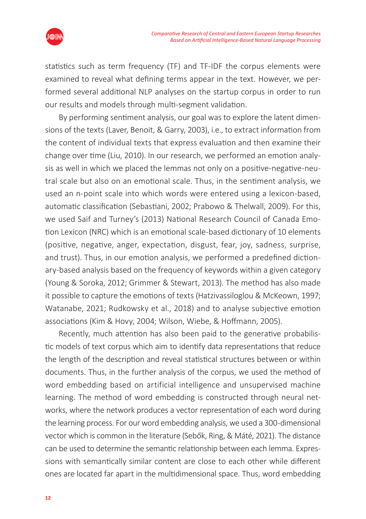



statistics such as term frequency (TF) and TF-IDF the corpus elements were examined to reveal what defining terms appear in the text. However, we performed several additional NLP analyses on the startup corpus in order to run our results and models through multi-segment validation.

By performing sentiment analysis, our goal was to explore the latent dimensions of the texts (Laver, Benoit, & Garry, 2003), i.e., to extract information from the content of individual texts that express evaluation and then examine their change over time (Liu, 2010). In our research, we performed an emotion analysis as well in which we placed the lemmas not only on a positive-negative-neutral scale but also on an emotional scale. Thus, in the sentiment analysis, we used an n-point scale into which words were entered using a lexicon-based, automatic classification (Sebastiani, 2002; Prabowo & Thelwall, 2009). For this, we used Saif and Turney's (2013) National Research Council of Canada Emotion Lexicon (NRC) which is an emotional scale-based dictionary of 10 elements (positive, negative, anger, expectation, disgust, fear, joy, sadness, surprise, and trust). Thus, in our emotion analysis, we performed a predefined dictionary-based analysis based on the frequency of keywords within a given category (Young & Soroka, 2012; Grimmer & Stewart, 2013). The method has also made it possible to capture the emotions of texts (Hatzivassiloglou & McKeown, 1997; Watanabe, 2021; Rudkowsky et al., 2018) and to analyse subjective emotion associations (Kim & Hovy, 2004; Wilson, Wiebe, & Hoffmann, 2005).

Recently, much attention has also been paid to the generative probabilistic models of text corpus which aim to identify data representations that reduce the length of the description and reveal statistical structures between or within documents. Thus, in the further analysis of the corpus, we used the method of word embedding based on artificial intelligence and unsupervised machine learning. The method of word embedding is constructed through neural networks, where the network produces a vector representation of each word during the learning process. For our word embedding analysis, we used a 300-dimensional vector which is common in the literature (Sebők, Ring, & Máté, 2021). The distance can be used to determine the semantic relationship between each lemma. Expressions with semantically similar content are close to each other while different ones are located far apart in the multidimensional space. Thus, word embedding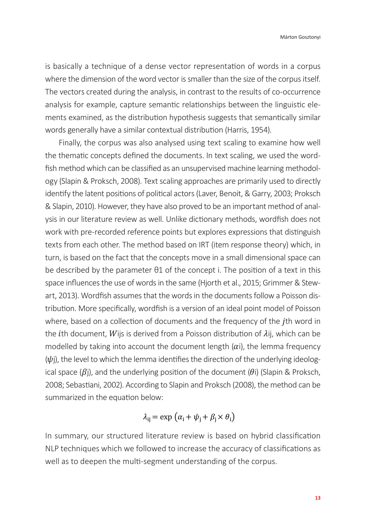is basically a technique of a dense vector representation of words in a corpus where the dimension of the word vector is smaller than the size of the corpus itself. The vectors created during the analysis, in contrast to the results of co-occurrence analysis for example, capture semantic relationships between the linguistic elements examined, as the distribution hypothesis suggests that semantically similar words generally have a similar contextual distribution (Harris, 1954).

Finally, the corpus was also analysed using text scaling to examine how well the thematic concepts defined the documents. In text scaling, we used the wordfish method which can be classified as an unsupervised machine learning methodology (Slapin & Proksch, 2008). Text scaling approaches are primarily used to directly identify the latent positions of political actors (Laver, Benoit, & Garry, 2003; Proksch & Slapin, 2010). However, they have also proved to be an important method of analysis in our literature review as well. Unlike dictionary methods, wordfish does not work with pre-recorded reference points but explores expressions that distinguish texts from each other. The method based on IRT (item response theory) which, in turn, is based on the fact that the concepts move in a small dimensional space can be described by the parameter θ1 of the concept i. The position of a text in this space influences the use of words in the same (Hjorth et al., 2015; Grimmer & Stewart, 2013). Wordfish assumes that the words in the documents follow a Poisson distribution. More specifically, wordfish is a version of an ideal point model of Poisson where, based on a collection of documents and the frequency of the *j*th word in the *i*th document, *W* ijs is derived from a Poisson distribution of  $\lambda$  ij, which can be modelled by taking into account the document length  $(\alpha i)$ , the lemma frequency  $(\psi$ j), the level to which the lemma identifies the direction of the underlying ideological space ( $\beta$ i), and the underlying position of the document ( $\theta$ i) (Slapin & Proksch, 2008; Sebastiani, 2002). According to Slapin and Proksch (2008), the method can be summarized in the equation below:

$$
\lambda_{ij} = \exp\left(\alpha_i + \psi_j + \beta_j \times \theta_i\right)
$$

In summary, our structured literature review is based on hybrid classification NLP techniques which we followed to increase the accuracy of classifications as well as to deepen the multi-segment understanding of the corpus.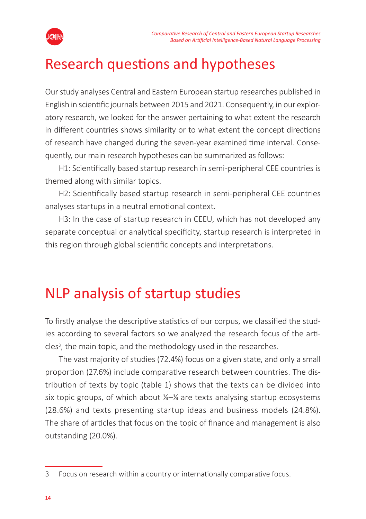

## Research questions and hypotheses

Our study analyses Central and Eastern European startup researches published in English in scientific journals between 2015 and 2021. Consequently, in our exploratory research, we looked for the answer pertaining to what extent the research in different countries shows similarity or to what extent the concept directions of research have changed during the seven-year examined time interval. Consequently, our main research hypotheses can be summarized as follows:

H1: Scientifically based startup research in semi-peripheral CEE countries is themed along with similar topics.

H2: Scientifically based startup research in semi-peripheral CEE countries analyses startups in a neutral emotional context.

H3: In the case of startup research in CEEU, which has not developed any separate conceptual or analytical specificity, startup research is interpreted in this region through global scientific concepts and interpretations.

## NLP analysis of startup studies

To firstly analyse the descriptive statistics of our corpus, we classified the studies according to several factors so we analyzed the research focus of the articles<sup>3</sup>, the main topic, and the methodology used in the researches.

The vast majority of studies (72.4%) focus on a given state, and only a small proportion (27.6%) include comparative research between countries. The distribution of texts by topic (table 1) shows that the texts can be divided into six topic groups, of which about  $\frac{1}{4}$  are texts analysing startup ecosystems (28.6%) and texts presenting startup ideas and business models (24.8%). The share of articles that focus on the topic of finance and management is also outstanding (20.0%).

<sup>3</sup> Focus on research within a country or internationally comparative focus.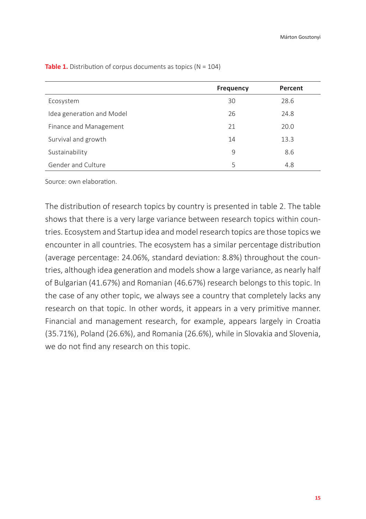|                           | <b>Frequency</b> | Percent |
|---------------------------|------------------|---------|
| Ecosystem                 | 30               | 28.6    |
| Idea generation and Model | 26               | 24.8    |
| Finance and Management    | 21               | 20.0    |
| Survival and growth       | 14               | 13.3    |
| Sustainability            | 9                | 8.6     |
| Gender and Culture        | 5                | 4.8     |

**Table 1.** Distribution of corpus documents as topics (N = 104)

Source: own elaboration.

The distribution of research topics by country is presented in table 2. The table shows that there is a very large variance between research topics within countries. Ecosystem and Startup idea and model research topics are those topics we encounter in all countries. The ecosystem has a similar percentage distribution (average percentage: 24.06%, standard deviation: 8.8%) throughout the countries, although idea generation and models show a large variance, as nearly half of Bulgarian (41.67%) and Romanian (46.67%) research belongs to this topic. In the case of any other topic, we always see a country that completely lacks any research on that topic. In other words, it appears in a very primitive manner. Financial and management research, for example, appears largely in Croatia (35.71%), Poland (26.6%), and Romania (26.6%), while in Slovakia and Slovenia, we do not find any research on this topic.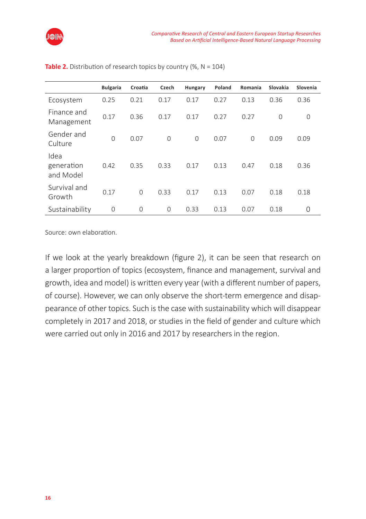

|                                 | <b>Bulgaria</b> | Croatia | Czech          | Hungary       | Poland | Romania        | Slovakia    | Slovenia |
|---------------------------------|-----------------|---------|----------------|---------------|--------|----------------|-------------|----------|
| Ecosystem                       | 0.25            | 0.21    | 0.17           | 0.17          | 0.27   | 0.13           | 0.36        | 0.36     |
| Finance and<br>Management       | 0.17            | 0.36    | 0.17           | 0.17          | 0.27   | 0.27           | $\mathbf 0$ | 0        |
| Gender and<br>Culture           | 0               | 0.07    | $\Omega$       | $\mathcal{O}$ | 0.07   | $\overline{0}$ | 0.09        | 0.09     |
| Idea<br>generation<br>and Model | 0.42            | 0.35    | 0.33           | 0.17          | 0.13   | 0.47           | 0.18        | 0.36     |
| Survival and<br>Growth          | 0.17            | 0       | 0.33           | 0.17          | 0.13   | 0.07           | 0.18        | 0.18     |
| Sustainability                  | 0               | 0       | $\overline{0}$ | 0.33          | 0.13   | 0.07           | 0.18        | $\Omega$ |

**Table 2.** Distribution of research topics by country (%,  $N = 104$ )

Source: own elaboration.

If we look at the yearly breakdown (figure 2), it can be seen that research on a larger proportion of topics (ecosystem, finance and management, survival and growth, idea and model) is written every year (with a different number of papers, of course). However, we can only observe the short-term emergence and disappearance of other topics. Such is the case with sustainability which will disappear completely in 2017 and 2018, or studies in the field of gender and culture which were carried out only in 2016 and 2017 by researchers in the region.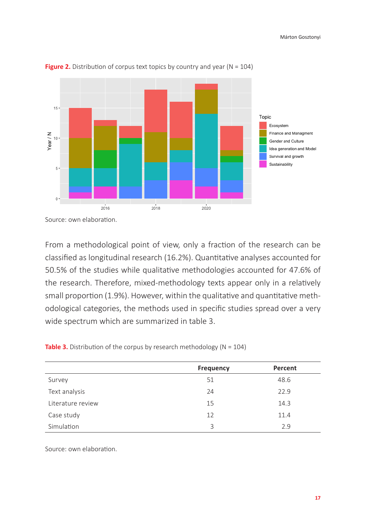

**Figure 2.** Distribution of corpus text topics by country and year ( $N = 104$ )

Source: own elaboration.

From a methodological point of view, only a fraction of the research can be classified as longitudinal research (16.2%). Quantitative analyses accounted for 50.5% of the studies while qualitative methodologies accounted for 47.6% of the research. Therefore, mixed-methodology texts appear only in a relatively small proportion (1.9%). However, within the qualitative and quantitative methodological categories, the methods used in specific studies spread over a very wide spectrum which are summarized in table 3.

|  |  | <b>Table 3.</b> Distribution of the corpus by research methodology ( $N = 104$ ) |  |
|--|--|----------------------------------------------------------------------------------|--|
|--|--|----------------------------------------------------------------------------------|--|

|                   | <b>Frequency</b> | Percent |
|-------------------|------------------|---------|
| Survey            | 51               | 48.6    |
| Text analysis     | 24               | 22.9    |
| Literature review | 15               | 14.3    |
| Case study        | 12               | 11.4    |
| Simulation        | 3                | 2.9     |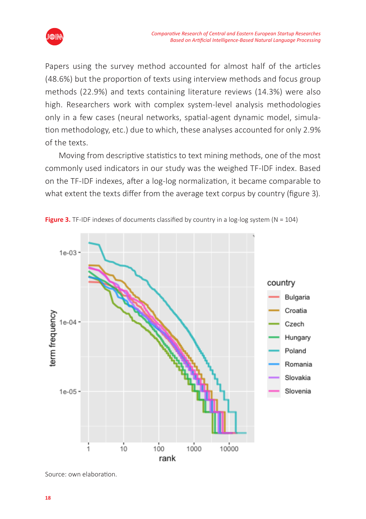

Papers using the survey method accounted for almost half of the articles (48.6%) but the proportion of texts using interview methods and focus group methods (22.9%) and texts containing literature reviews (14.3%) were also high. Researchers work with complex system-level analysis methodologies only in a few cases (neural networks, spatial-agent dynamic model, simulation methodology, etc.) due to which, these analyses accounted for only 2.9% of the texts.

Moving from descriptive statistics to text mining methods, one of the most commonly used indicators in our study was the weighed TF-IDF index. Based on the TF-IDF indexes, after a log-log normalization, it became comparable to what extent the texts differ from the average text corpus by country (figure 3).



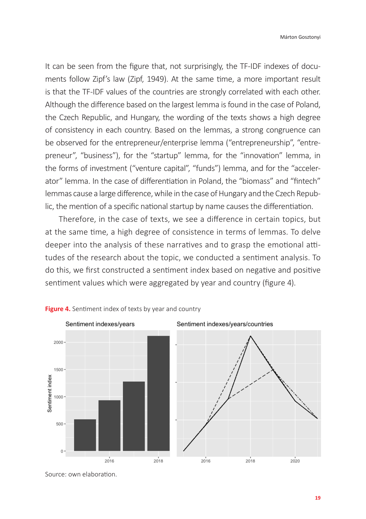It can be seen from the figure that, not surprisingly, the TF-IDF indexes of documents follow Zipf's law (Zipf, 1949). At the same time, a more important result is that the TF-IDF values of the countries are strongly correlated with each other. Although the difference based on the largest lemma is found in the case of Poland, the Czech Republic, and Hungary, the wording of the texts shows a high degree of consistency in each country. Based on the lemmas, a strong congruence can be observed for the entrepreneur/enterprise lemma ("entrepreneurship", "entrepreneur", "business"), for the "startup" lemma, for the "innovation" lemma, in the forms of investment ("venture capital", "funds") lemma, and for the "accelerator" lemma. In the case of differentiation in Poland, the "biomass" and "fintech" lemmas cause a large difference, while in the case of Hungary and the Czech Republic, the mention of a specific national startup by name causes the differentiation.

Therefore, in the case of texts, we see a difference in certain topics, but at the same time, a high degree of consistence in terms of lemmas. To delve deeper into the analysis of these narratives and to grasp the emotional attitudes of the research about the topic, we conducted a sentiment analysis. To do this, we first constructed a sentiment index based on negative and positive sentiment values which were aggregated by year and country (figure 4).



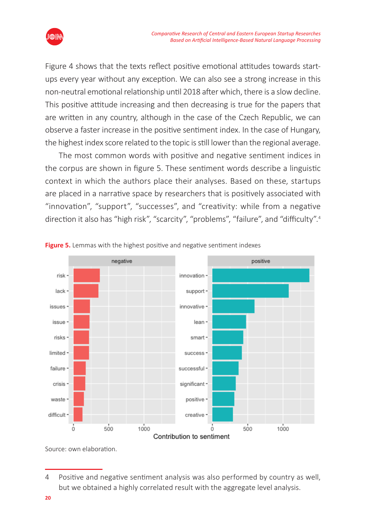

Figure 4 shows that the texts reflect positive emotional attitudes towards startups every year without any exception. We can also see a strong increase in this non-neutral emotional relationship until 2018 after which, there is a slow decline. This positive attitude increasing and then decreasing is true for the papers that are written in any country, although in the case of the Czech Republic, we can observe a faster increase in the positive sentiment index. In the case of Hungary, the highest index score related to the topic is still lower than the regional average.

The most common words with positive and negative sentiment indices in the corpus are shown in figure 5. These sentiment words describe a linguistic context in which the authors place their analyses. Based on these, startups are placed in a narrative space by researchers that is positively associated with "innovation", "support", "successes", and "creativity: while from a negative direction it also has "high risk", "scarcity", "problems", "failure", and "difficulty".<sup>4</sup>



**Figure 5.** Lemmas with the highest positive and negative sentiment indexes

<sup>4</sup> Positive and negative sentiment analysis was also performed by country as well, but we obtained a highly correlated result with the aggregate level analysis.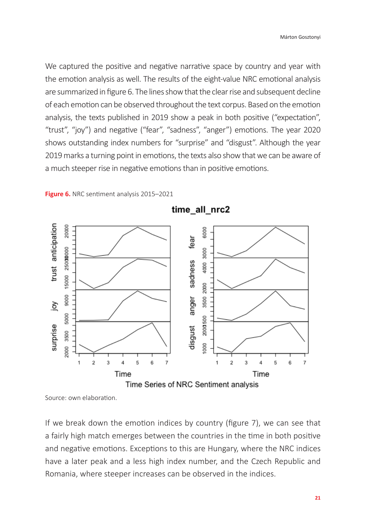We captured the positive and negative narrative space by country and year with the emotion analysis as well. The results of the eight-value NRC emotional analysis are summarized in figure 6. The lines show that the clear rise and subsequent decline of each emotion can be observed throughout the text corpus. Based on the emotion analysis, the texts published in 2019 show a peak in both positive ("expectation", "trust", "joy") and negative ("fear", "sadness", "anger") emotions. The year 2020 shows outstanding index numbers for "surprise" and "disgust". Although the year 2019 marks a turning point in emotions, the texts also show that we can be aware of a much steeper rise in negative emotions than in positive emotions.



**Figure 6.** NRC sentiment analysis 2015–2021

Source: own elaboration.

If we break down the emotion indices by country (figure 7), we can see that a fairly high match emerges between the countries in the time in both positive and negative emotions. Exceptions to this are Hungary, where the NRC indices have a later peak and a less high index number, and the Czech Republic and Romania, where steeper increases can be observed in the indices.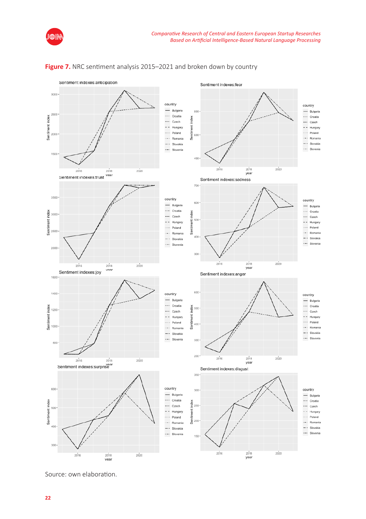



#### Figure 7. NRC sentiment analysis 2015–2021 and broken down by country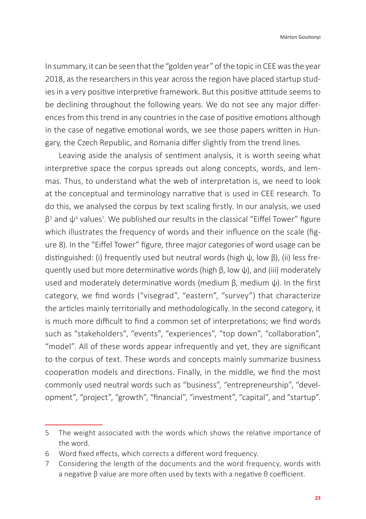In summary, it can be seen that the "golden year" of the topic in CEE was the year 2018, as the researchers in this year across the region have placed startup studies in a very positive interpretive framework. But this positive attitude seems to be declining throughout the following years. We do not see any major differences from this trend in any countries in the case of positive emotions although in the case of negative emotional words, we see those papers written in Hungary, the Czech Republic, and Romania differ slightly from the trend lines.

Leaving aside the analysis of sentiment analysis, it is worth seeing what interpretive space the corpus spreads out along concepts, words, and lemmas. Thus, to understand what the web of interpretation is, we need to look at the conceptual and terminology narrative that is used in CEE research. To do this, we analysed the corpus by text scaling firstly. In our analysis, we used  $\beta$ <sup>5</sup> and  $\psi$ <sup>6</sup> values<sup>7</sup>. We published our results in the classical "Eiffel Tower" figure which illustrates the frequency of words and their influence on the scale (figure 8). In the "Eiffel Tower" figure, three major categories of word usage can be distinguished: (i) frequently used but neutral words (high ψ, low β), (ii) less frequently used but more determinative words (high β, low ψ), and (iii) moderately used and moderately determinative words (medium β, medium ψ). In the first category, we find words ("visegrad", "eastern", "survey") that characterize the articles mainly territorially and methodologically. In the second category, it is much more difficult to find a common set of interpretations; we find words such as "stakeholders", "events", "experiences", "top down", "collaboration", "model". All of these words appear infrequently and yet, they are significant to the corpus of text. These words and concepts mainly summarize business cooperation models and directions. Finally, in the middle, we find the most commonly used neutral words such as "business", "entrepreneurship", "development", "project", "growth", "financial", "investment", "capital", and "startup".

<sup>5</sup> The weight associated with the words which shows the relative importance of the word.

<sup>6</sup> Word fixed effects, which corrects a different word frequency.

<sup>7</sup> Considering the length of the documents and the word frequency, words with a negative  $β$  value are more often used by texts with a negative  $θ$  coefficient.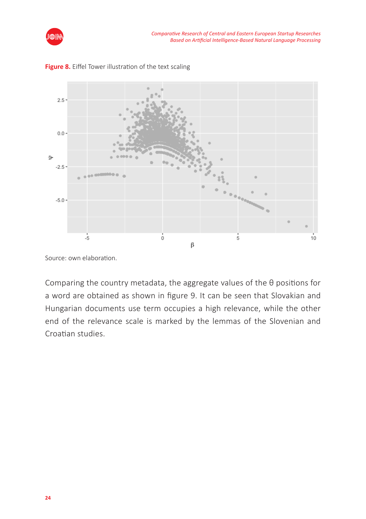



**Figure 8.** Eiffel Tower illustration of the text scaling

Source: own elaboration.

Comparing the country metadata, the aggregate values of the θ positions for a word are obtained as shown in figure 9. It can be seen that Slovakian and Hungarian documents use term occupies a high relevance, while the other end of the relevance scale is marked by the lemmas of the Slovenian and Croatian studies.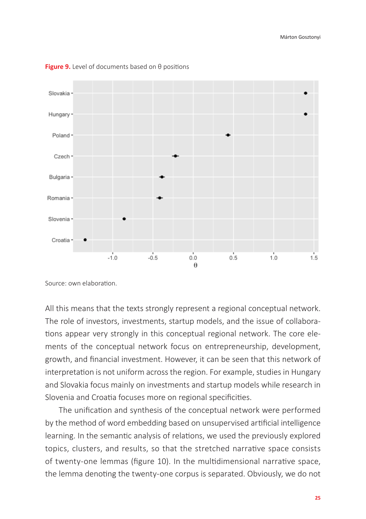

**Figure 9.** Level of documents based on θ positions

Source: own elaboration.

All this means that the texts strongly represent a regional conceptual network. The role of investors, investments, startup models, and the issue of collaborations appear very strongly in this conceptual regional network. The core elements of the conceptual network focus on entrepreneurship, development, growth, and financial investment. However, it can be seen that this network of interpretation is not uniform across the region. For example, studies in Hungary and Slovakia focus mainly on investments and startup models while research in Slovenia and Croatia focuses more on regional specificities.

The unification and synthesis of the conceptual network were performed by the method of word embedding based on unsupervised artificial intelligence learning. In the semantic analysis of relations, we used the previously explored topics, clusters, and results, so that the stretched narrative space consists of twenty-one lemmas (figure 10). In the multidimensional narrative space, the lemma denoting the twenty-one corpus is separated. Obviously, we do not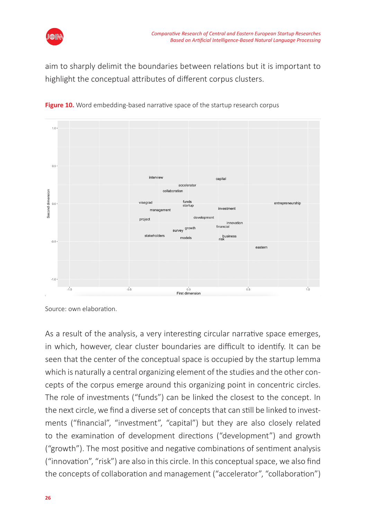

aim to sharply delimit the boundaries between relations but it is important to highlight the conceptual attributes of different corpus clusters.



**Figure 10.** Word embedding-based narrative space of the startup research corpus

As a result of the analysis, a very interesting circular narrative space emerges, in which, however, clear cluster boundaries are difficult to identify. It can be seen that the center of the conceptual space is occupied by the startup lemma which is naturally a central organizing element of the studies and the other concepts of the corpus emerge around this organizing point in concentric circles. The role of investments ("funds") can be linked the closest to the concept. In the next circle, we find a diverse set of concepts that can still be linked to investments ("financial", "investment", "capital") but they are also closely related to the examination of development directions ("development") and growth ("growth"). The most positive and negative combinations of sentiment analysis ("innovation", "risk") are also in this circle. In this conceptual space, we also find the concepts of collaboration and management ("accelerator", "collaboration")

Source: own elaboration.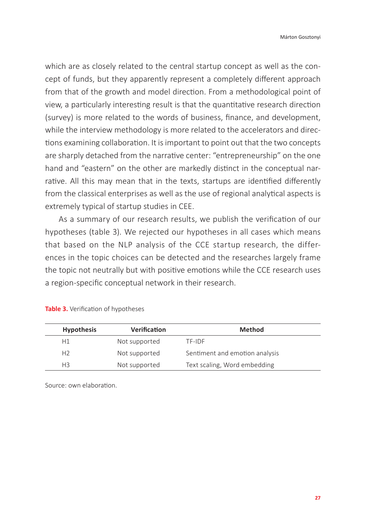which are as closely related to the central startup concept as well as the concept of funds, but they apparently represent a completely different approach from that of the growth and model direction. From a methodological point of view, a particularly interesting result is that the quantitative research direction (survey) is more related to the words of business, finance, and development, while the interview methodology is more related to the accelerators and directions examining collaboration. It is important to point out that the two concepts are sharply detached from the narrative center: "entrepreneurship" on the one hand and "eastern" on the other are markedly distinct in the conceptual narrative. All this may mean that in the texts, startups are identified differently from the classical enterprises as well as the use of regional analytical aspects is extremely typical of startup studies in CEE.

As a summary of our research results, we publish the verification of our hypotheses (table 3). We rejected our hypotheses in all cases which means that based on the NLP analysis of the CCE startup research, the differences in the topic choices can be detected and the researches largely frame the topic not neutrally but with positive emotions while the CCE research uses a region-specific conceptual network in their research.

| <b>Hypothesis</b> | <b>Verification</b> | Method                         |
|-------------------|---------------------|--------------------------------|
| H1                | Not supported       | TF-IDF                         |
| H <sub>2</sub>    | Not supported       | Sentiment and emotion analysis |
| H <sub>3</sub>    | Not supported       | Text scaling, Word embedding   |

**Table 3.** Verification of hypotheses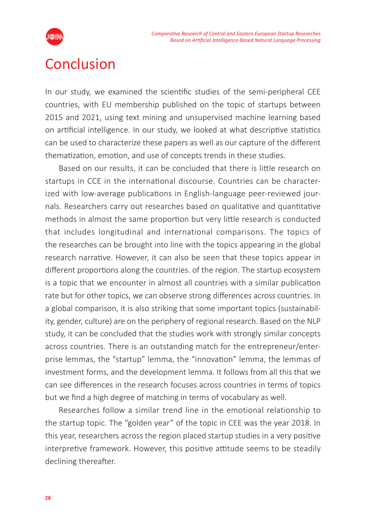

## Conclusion

In our study, we examined the scientific studies of the semi-peripheral CEE countries, with EU membership published on the topic of startups between 2015 and 2021, using text mining and unsupervised machine learning based on artificial intelligence. In our study, we looked at what descriptive statistics can be used to characterize these papers as well as our capture of the different thematization, emotion, and use of concepts trends in these studies.

Based on our results, it can be concluded that there is little research on startups in CCE in the international discourse. Countries can be characterized with low-average publications in English-language peer-reviewed journals. Researchers carry out researches based on qualitative and quantitative methods in almost the same proportion but very little research is conducted that includes longitudinal and international comparisons. The topics of the researches can be brought into line with the topics appearing in the global research narrative. However, it can also be seen that these topics appear in different proportions along the countries. of the region. The startup ecosystem is a topic that we encounter in almost all countries with a similar publication rate but for other topics, we can observe strong differences across countries. In a global comparison, it is also striking that some important topics (sustainability, gender, culture) are on the periphery of regional research. Based on the NLP study, it can be concluded that the studies work with strongly similar concepts across countries. There is an outstanding match for the entrepreneur/enterprise lemmas, the "startup" lemma, the "innovation" lemma, the lemmas of investment forms, and the development lemma. It follows from all this that we can see differences in the research focuses across countries in terms of topics but we find a high degree of matching in terms of vocabulary as well.

Researches follow a similar trend line in the emotional relationship to the startup topic. The "golden year" of the topic in CEE was the year 2018. In this year, researchers across the region placed startup studies in a very positive interpretive framework. However, this positive attitude seems to be steadily declining thereafter.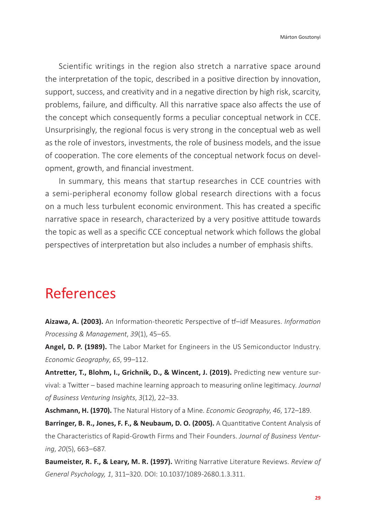Scientific writings in the region also stretch a narrative space around the interpretation of the topic, described in a positive direction by innovation, support, success, and creativity and in a negative direction by high risk, scarcity, problems, failure, and difficulty. All this narrative space also affects the use of the concept which consequently forms a peculiar conceptual network in CCE. Unsurprisingly, the regional focus is very strong in the conceptual web as well as the role of investors, investments, the role of business models, and the issue of cooperation. The core elements of the conceptual network focus on development, growth, and financial investment.

In summary, this means that startup researches in CCE countries with a semi-peripheral economy follow global research directions with a focus on a much less turbulent economic environment. This has created a specific narrative space in research, characterized by a very positive attitude towards the topic as well as a specific CCE conceptual network which follows the global perspectives of interpretation but also includes a number of emphasis shifts.

## References

**Aizawa, A. (2003).** An Information-theoretic Perspective of tf–idf Measures. *Information Processing & Management*, *39*(1), 45–65.

**Angel, D. P. (1989).** The Labor Market for Engineers in the US Semiconductor Industry. *Economic Geography*, *65*, 99–112.

**Antretter, T., Blohm, I., Grichnik, D., & Wincent, J. (2019).** Predicting new venture survival: a Twitter – based machine learning approach to measuring online legitimacy. *Journal of Business Venturing Insights*, *3*(12), 22–33.

**Aschmann, H. (1970).** The Natural History of a Mine. *Economic Geography*, *46*, 172–189.

**Barringer, B. R., Jones, F. F., & Neubaum, D. O. (2005).** A Quantitative Content Analysis of the Characteristics of Rapid-Growth Firms and Their Founders. *Journal of Business Venturing*, *20*(5), 663–687.

**Baumeister, R. F., & Leary, M. R. (1997).** Writing Narrative Literature Reviews. *Review of General Psychology, 1*, 311–320. DOI: 10.1037/1089-2680.1.3.311.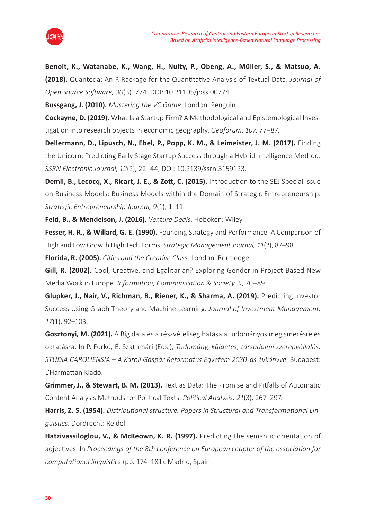

**Benoit, K., Watanabe, K., Wang, H., Nulty, P., Obeng, A., Müller, S., & Matsuo, A. (2018).** Quanteda: An R Rackage for the Quantitative Analysis of Textual Data. *Journal of Open Source Software, 30*(3)*,* 774. DOI: 10.21105/joss.00774.

**Bussgang, J. (2010).** *Mastering the VC Game*. London: Penguin.

**Cockayne, D. (2019).** What Is a Startup Firm? A Methodological and Epistemological Investigation into research objects in economic geography. *Geoforum*, *107*, 77–87.

**Dellermann, D., Lipusch, N., Ebel, P., Popp, K. M., & Leimeister, J. M. (2017).** Finding the Unicorn: Predicting Early Stage Startup Success through a Hybrid Intelligence Method. *SSRN Electronic Journal*, *12*(2), 22–44, DOI: 10.2139/ssrn.3159123.

**Demil, B., Lecocq, X., Ricart, J. E., & Zott, C. (2015).** Introduction to the SEJ Special Issue on Business Models: Business Models within the Domain of Strategic Entrepreneurship. *Strategic Entrepreneurship Journal, 9*(1)*,* 1–11.

**Feld, B., & Mendelson, J. (2016).** *Venture Deals*. Hoboken: Wiley.

**Fesser, H. R., & Willard, G. E. (1990).** Founding Strategy and Performance: A Comparison of High and Low Growth High Tech Forms. *Strategic Management Journal, 11*(2), 87–98.

**Florida, R. (2005).** *Cities and the Creative Class*. London: Routledge.

**Gill, R. (2002).** Cool, Creative, and Egalitarian? Exploring Gender in Project-Based New Media Work in Europe. *Information, Communication & Society*, *5*, 70–89.

**Glupker, J., Nair, V., Richman, B., Riener, K., & Sharma, A. (2019).** Predicting Investor Success Using Graph Theory and Machine Learning. *Journal of Investment Management, 17*(1), 92–103.

**Gosztonyi, M. (2021).** A Big data és a részvételiség hatása a tudományos megismerésre és oktatásra. In P. Furkó, É. Szathmári (Eds.), *Tudomány, küldetés, társadalmi szerepvállalás: STUDIA CAROLIENSIA – A Károli Gáspár Református Egyetem 2020-as évkönyve*. Budapest: L'Harmattan Kiadó.

**Grimmer, J., & Stewart, B. M. (2013).** Text as Data: The Promise and Pitfalls of Automatic Content Analysis Methods for Political Texts. *Political Analysis, 21*(3), 267–297.

**Harris, Z. S. (1954).** *Distributional structure. Papers in Structural and Transformational Linguistics*. Dordrecht: Reidel.

**Hatzivassiloglou, V., & McKeown, K. R. (1997).** Predicting the semantic orientation of adjectives. In *Proceedings of the 8th conference on European chapter of the association for computational linguistics* (pp. 174–181). Madrid, Spain.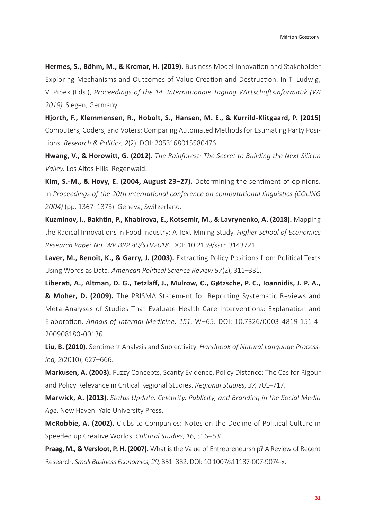**Hermes, S., Böhm, M., & Krcmar, H. (2019).** Business Model Innovation and Stakeholder Exploring Mechanisms and Outcomes of Value Creation and Destruction. In T. Ludwig, V. Pipek (Eds.), *Proceedings of the 14. Internationale Tagung Wirtschaftsinformatik (WI 2019)*. Siegen, Germany.

**Hjorth, F., Klemmensen, R., Hobolt, S., Hansen, M. E., & Kurrild-Klitgaard, P. (2015)** Computers, Coders, and Voters: Comparing Automated Methods for Estimating Party Positions. *Research & Politics*, *2*(2). DOI: 2053168015580476.

**Hwang, V., & Horowitt, G. (2012).** *The Rainforest: The Secret to Building the Next Silicon Valley*. Los Altos Hills: Regenwald.

**Kim, S.-M., & Hovy, E. (2004, August 23–27).** Determining the sentiment of opinions. In *Proceedings of the 20th international conference on computational linguistics (COLING 2004)* (pp. 1367–1373). Geneva, Switzerland.

**Kuzminov, I., Bakhtin, P., Khabirova, E., Kotsemir, M., & Lavrynenko, A. (2018).** Mapping the Radical Innovations in Food Industry: A Text Mining Study. *Higher School of Economics Research Paper No. WP BRP 80/STI/2018*. DOI: 10.2139/ssrn.3143721.

**Laver, M., Benoit, K., & Garry, J. (2003).** Extracting Policy Positions from Political Texts Using Words as Data. *American Political Science Review 97*(2), 311–331.

**Liberati, A., Altman, D. G., Tetzlaff, J., Mulrow, C., Gøtzsche, P. C., Ioannidis, J. P. A., & Moher, D. (2009).** The PRISMA Statement for Reporting Systematic Reviews and Meta-Analyses of Studies That Evaluate Health Care Interventions: Explanation and Elaboration. *Annals of Internal Medicine, 151*, W–65. DOI: 10.7326/0003-4819-151-4- 200908180-00136.

**Liu, B. (2010).** Sentiment Analysis and Subjectivity. *Handbook of Natural Language Processing, 2*(2010), 627–666.

**Markusen, A. (2003).** Fuzzy Concepts, Scanty Evidence, Policy Distance: The Cas for Rigour and Policy Relevance in Critical Regional Studies. *Regional Studies*, *37*, 701–717.

**Marwick, A. (2013).** *Status Update: Celebrity, Publicity, and Branding in the Social Media Age*. New Haven: Yale University Press.

**McRobbie, A. (2002).** Clubs to Companies: Notes on the Decline of Political Culture in Speeded up Creative Worlds. *Cultural Studies*, *16*, 516–531.

**Praag, M., & Versloot, P. H. (2007).** What is the Value of Entrepreneurship? A Review of Recent Research. *Small Business Economics, 29,* 351–382. DOI: 10.1007/s11187-007-9074-x.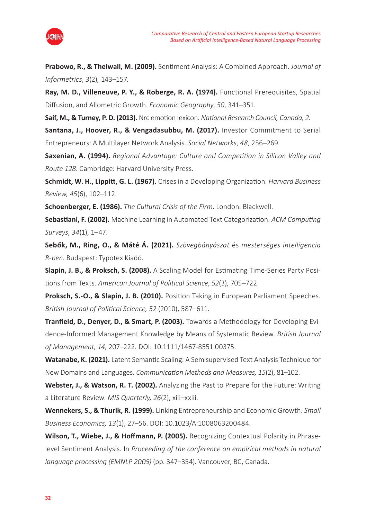

**Prabowo, R., & Thelwall, M. (2009).** Sentiment Analysis: A Combined Approach. *Journal of Informetrics*, *3*(2)*,* 143–157.

**Ray, M. D., Villeneuve, P. Y., & Roberge, R. A. (1974).** Functional Prerequisites, Spatial Diffusion, and Allometric Growth. *Economic Geography*, *50*, 341–351.

**Saif, M., & Turney, P. D. (2013).** Nrc emotion lexicon. *National Research Council, Canada, 2.*

**Santana, J., Hoover, R., & Vengadasubbu, M. (2017).** Investor Commitment to Serial Entrepreneurs: A Multilayer Network Analysis. *Social Networks*, *48*, 256–269.

**Saxenian, A. (1994).** *Regional Advantage: Culture and Competition in Silicon Valley and Route 128*. Cambridge: Harvard University Press.

**Schmidt, W. H., Lippitt, G. L. (1967).** Crises in a Developing Organization. *Harvard Business Review, 45*(6), 102–112.

**Schoenberger, E. (1986).** *The Cultural Crisis of the Firm*. London: Blackwell.

**Sebastiani, F. (2002).** Machine Learning in Automated Text Categorization. *ACM Computing Surveys*, *34*(1), 1–47.

**Sebők, M., Ring, O., & Máté Á. (2021).** *Szövegbányászat* és *mesterséges intelligencia R-ben*. Budapest: Typotex Kiadó.

**Slapin, J. B., & Proksch, S. (2008).** A Scaling Model for Estimating Time-Series Party Positions from Texts. *American Journal of Political Science*, *52*(3), 705–722.

**Proksch, S.-O., & Slapin, J. B. (2010).** Position Taking in European Parliament Speeches. *British Journal of Political Science, 52* (2010), 587–611.

**Tranfield, D., Denyer, D., & Smart, P. (2003).** Towards a Methodology for Developing Evidence-Informed Management Knowledge by Means of Systematic Review. *British Journal of Management, 14,* 207–222. DOI: 10.1111/1467-8551.00375.

**Watanabe, K. (2021).** Latent Semantic Scaling: A Semisupervised Text Analysis Technique for New Domains and Languages. *Communication Methods and Measures, 15*(2), 81–102.

**Webster, J., & Watson, R. T. (2002).** Analyzing the Past to Prepare for the Future: Writing a Literature Review. *MIS Quarterly, 26*(2), xiii–xxiii.

**Wennekers, S., & Thurik, R. (1999).** Linking Entrepreneurship and Economic Growth. *Small Business Economics, 13*(1), 27–56. DOI: 10.1023/A:1008063200484.

**Wilson, T., Wiebe, J., & Hoffmann, P. (2005).** Recognizing Contextual Polarity in Phraselevel Sentiment Analysis. In *Proceeding of the conference on empirical methods in natural language processing (EMNLP 2005)* (pp. 347–354). Vancouver, BC, Canada.